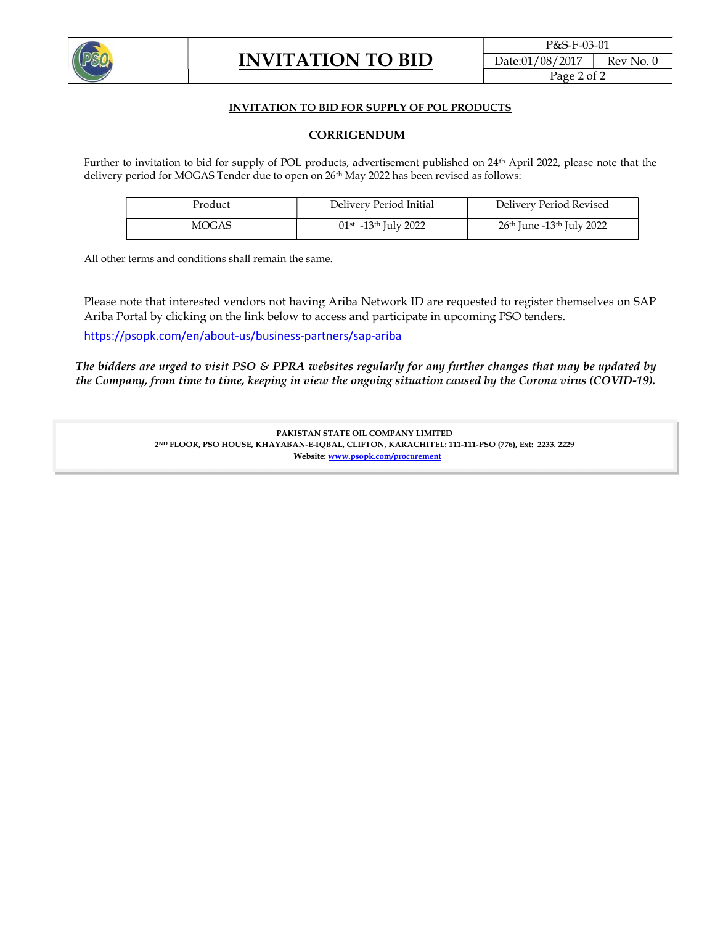

## INVITATION TO BID FOR SUPPLY OF POL PRODUCTS

## CORRIGENDUM

Further to invitation to bid for supply of POL products, advertisement published on 24th April 2022, please note that the delivery period for MOGAS Tender due to open on 26<sup>th</sup> May 2022 has been revised as follows:

| Product | Delivery Period Initial                        | Delivery Period Revised                           |
|---------|------------------------------------------------|---------------------------------------------------|
| MOGAS   | $01$ <sup>st</sup> -13 <sup>th</sup> July 2022 | 26 <sup>th</sup> June -13 <sup>th</sup> July 2022 |

All other terms and conditions shall remain the same.

Please note that interested vendors not having Ariba Network ID are requested to register themselves on SAP Ariba Portal by clicking on the link below to access and participate in upcoming PSO tenders.

https://psopk.com/en/about-us/business-partners/sap-ariba

The bidders are urged to visit PSO & PPRA websites regularly for any further changes that may be updated by the Company, from time to time, keeping in view the ongoing situation caused by the Corona virus (COVID-19).

> PAKISTAN STATE OIL COMPANY LIMITED 2ND FLOOR, PSO HOUSE, KHAYABAN-E-IQBAL, CLIFTON, KARACHITEL: 111-111-PSO (776), Ext: 2233. 2229 Website: www.psopk.com/procurement